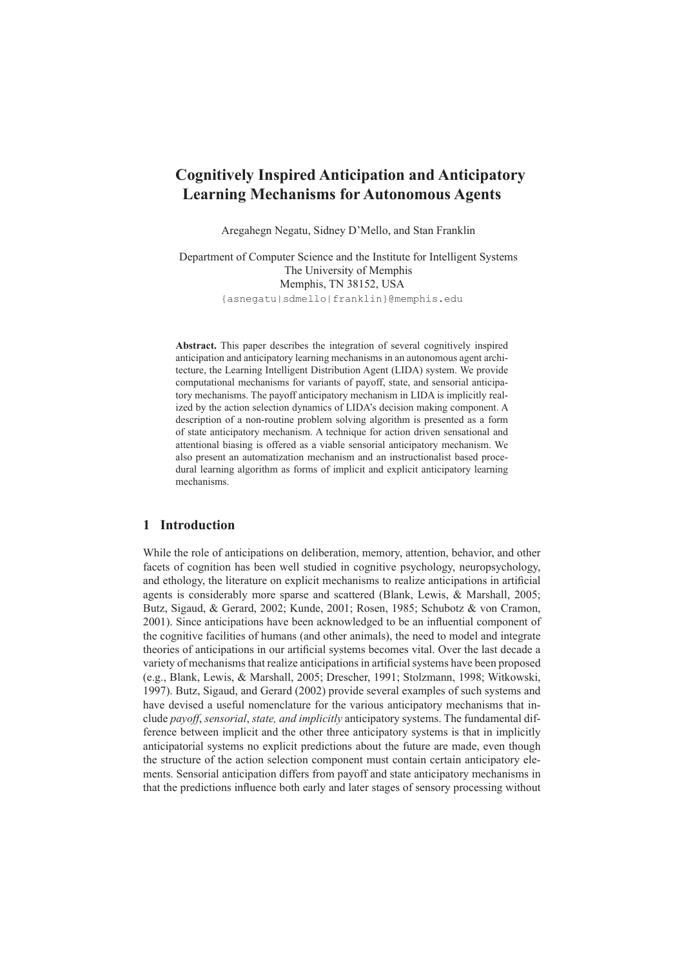# **Cognitively Inspired Anticipation and Anticipatory Learning Mechanisms for Autonomous Agents**

Aregahegn Negatu, Sidney D'Mello, and Stan Franklin

Department of Computer Science and the Institute for Intelligent Systems The University of Memphis Memphis, TN 38152, USA {asnegatu|sdmello|franklin}@memphis.edu

**Abstract.** This paper describes the integration of several cognitively inspired anticipation and anticipatory learning mechanisms in an autonomous agent architecture, the Learning Intelligent Distribution Agent (LIDA) system. We provide computational mechanisms for variants of payoff, state, and sensorial anticipatory mechanisms. The payoff anticipatory mechanism in LIDA is implicitly realized by the action selection dynamics of LIDA's decision making component. A description of a non-routine problem solving algorithm is presented as a form of state anticipatory mechanism. A technique for action driven sensational and attentional biasing is offered as a viable sensorial anticipatory mechanism. We also present an automatization mechanism and an instructionalist based procedural learning algorithm as forms of implicit and explicit anticipatory learning mechanisms.

# **1 Introduction**

While the role of anticipations on deliberation, memory, attention, behavior, and other facets of cognition has been well studied in cognitive psychology, neuropsychology, and ethology, the literature on explicit mechanisms to realize anticipations in artificial agents is considerably more sparse and scattered (Blank, Lewis, & Marshall, 2005; Butz, Sigaud, & Gerard, 2002; Kunde, 2001; Rosen, 1985; Schubotz & von Cramon, 2001). Since anticipations have been acknowledged to be an influential component of the cognitive facilities of humans (and other animals), the need to model and integrate theories of anticipations in our artificial systems becomes vital. Over the last decade a variety of mechanisms that realize anticipations in artificial systems have been proposed (e.g., Blank, Lewis, & Marshall, 2005; Drescher, 1991; Stolzmann, 1998; Witkowski, 1997). Butz, Sigaud, and Gerard (2002) provide several examples of such systems and have devised a useful nomenclature for the various anticipatory mechanisms that include *payoff*, *sensorial*, *state, and implicitly* anticipatory systems. The fundamental difference between implicit and the other three anticipatory systems is that in implicitly anticipatorial systems no explicit predictions about the future are made, even though the structure of the action selection component must contain certain anticipatory elements. Sensorial anticipation differs from payoff and state anticipatory mechanisms in that the predictions influence both early and later stages of sensory processing without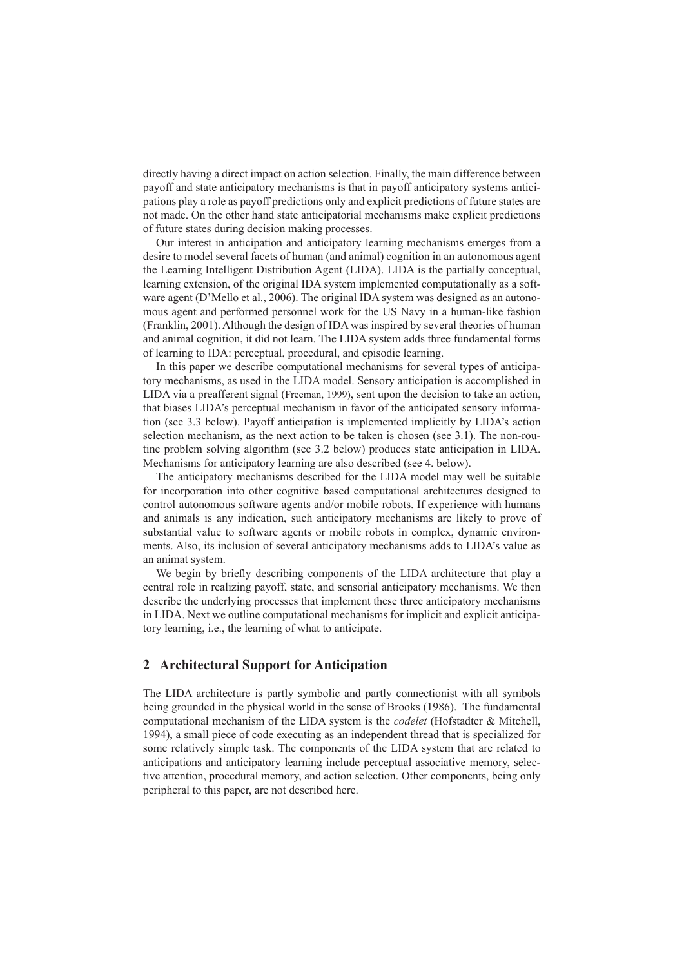directly having a direct impact on action selection. Finally, the main difference between payoff and state anticipatory mechanisms is that in payoff anticipatory systems anticipations play a role as payoff predictions only and explicit predictions of future states are not made. On the other hand state anticipatorial mechanisms make explicit predictions of future states during decision making processes.

Our interest in anticipation and anticipatory learning mechanisms emerges from a desire to model several facets of human (and animal) cognition in an autonomous agent the Learning Intelligent Distribution Agent (LIDA). LIDA is the partially conceptual, learning extension, of the original IDA system implemented computationally as a software agent (D'Mello et al., 2006). The original IDA system was designed as an autonomous agent and performed personnel work for the US Navy in a human-like fashion (Franklin, 2001). Although the design of IDA was inspired by several theories of human and animal cognition, it did not learn. The LIDA system adds three fundamental forms of learning to IDA: perceptual, procedural, and episodic learning.

In this paper we describe computational mechanisms for several types of anticipatory mechanisms, as used in the LIDA model. Sensory anticipation is accomplished in LIDA via a preafferent signal (Freeman, 1999), sent upon the decision to take an action, that biases LIDA's perceptual mechanism in favor of the anticipated sensory information (see 3.3 below). Payoff anticipation is implemented implicitly by LIDA's action selection mechanism, as the next action to be taken is chosen (see 3.1). The non-routine problem solving algorithm (see 3.2 below) produces state anticipation in LIDA. Mechanisms for anticipatory learning are also described (see 4. below).

The anticipatory mechanisms described for the LIDA model may well be suitable for incorporation into other cognitive based computational architectures designed to control autonomous software agents and/or mobile robots. If experience with humans and animals is any indication, such anticipatory mechanisms are likely to prove of substantial value to software agents or mobile robots in complex, dynamic environments. Also, its inclusion of several anticipatory mechanisms adds to LIDA's value as an animat system.

We begin by briefly describing components of the LIDA architecture that play a central role in realizing payoff, state, and sensorial anticipatory mechanisms. We then describe the underlying processes that implement these three anticipatory mechanisms in LIDA. Next we outline computational mechanisms for implicit and explicit anticipatory learning, i.e., the learning of what to anticipate.

# **2 Architectural Support for Anticipation**

The LIDA architecture is partly symbolic and partly connectionist with all symbols being grounded in the physical world in the sense of Brooks (1986). The fundamental computational mechanism of the LIDA system is the *codelet* (Hofstadter & Mitchell, 1994), a small piece of code executing as an independent thread that is specialized for some relatively simple task. The components of the LIDA system that are related to anticipations and anticipatory learning include perceptual associative memory, selective attention, procedural memory, and action selection. Other components, being only peripheral to this paper, are not described here.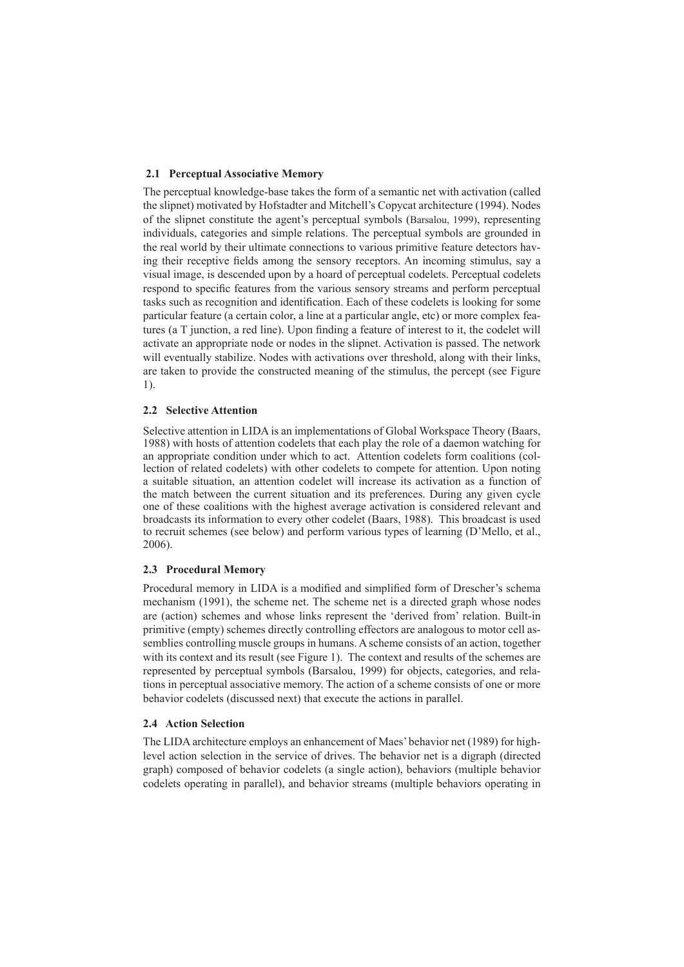### **2.1 Perceptual Associative Memory**

The perceptual knowledge-base takes the form of a semantic net with activation (called the slipnet) motivated by Hofstadter and Mitchell's Copycat architecture (1994). Nodes of the slipnet constitute the agent's perceptual symbols (Barsalou, 1999), representing individuals, categories and simple relations. The perceptual symbols are grounded in the real world by their ultimate connections to various primitive feature detectors having their receptive fields among the sensory receptors. An incoming stimulus, say a visual image, is descended upon by a hoard of perceptual codelets. Perceptual codelets respond to specific features from the various sensory streams and perform perceptual tasks such as recognition and identification. Each of these codelets is looking for some particular feature (a certain color, a line at a particular angle, etc) or more complex features (a T junction, a red line). Upon finding a feature of interest to it, the codelet will activate an appropriate node or nodes in the slipnet. Activation is passed. The network will eventually stabilize. Nodes with activations over threshold, along with their links, are taken to provide the constructed meaning of the stimulus, the percept (see Figure 1).

#### **2.2 Selective Attention**

Selective attention in LIDA is an implementations of Global Workspace Theory (Baars, 1988) with hosts of attention codelets that each play the role of a daemon watching for an appropriate condition under which to act. Attention codelets form coalitions (collection of related codelets) with other codelets to compete for attention. Upon noting a suitable situation, an attention codelet will increase its activation as a function of the match between the current situation and its preferences. During any given cycle one of these coalitions with the highest average activation is considered relevant and broadcasts its information to every other codelet (Baars, 1988). This broadcast is used to recruit schemes (see below) and perform various types of learning (D'Mello, et al., 2006).

#### **2.3 Procedural Memory**

Procedural memory in LIDA is a modified and simplified form of Drescher's schema mechanism (1991), the scheme net. The scheme net is a directed graph whose nodes are (action) schemes and whose links represent the 'derived from' relation. Built-in primitive (empty) schemes directly controlling effectors are analogous to motor cell assemblies controlling muscle groups in humans. A scheme consists of an action, together with its context and its result (see Figure 1). The context and results of the schemes are represented by perceptual symbols (Barsalou, 1999) for objects, categories, and relations in perceptual associative memory. The action of a scheme consists of one or more behavior codelets (discussed next) that execute the actions in parallel.

#### **2.4 Action Selection**

The LIDA architecture employs an enhancement of Maes' behavior net (1989) for highlevel action selection in the service of drives. The behavior net is a digraph (directed graph) composed of behavior codelets (a single action), behaviors (multiple behavior codelets operating in parallel), and behavior streams (multiple behaviors operating in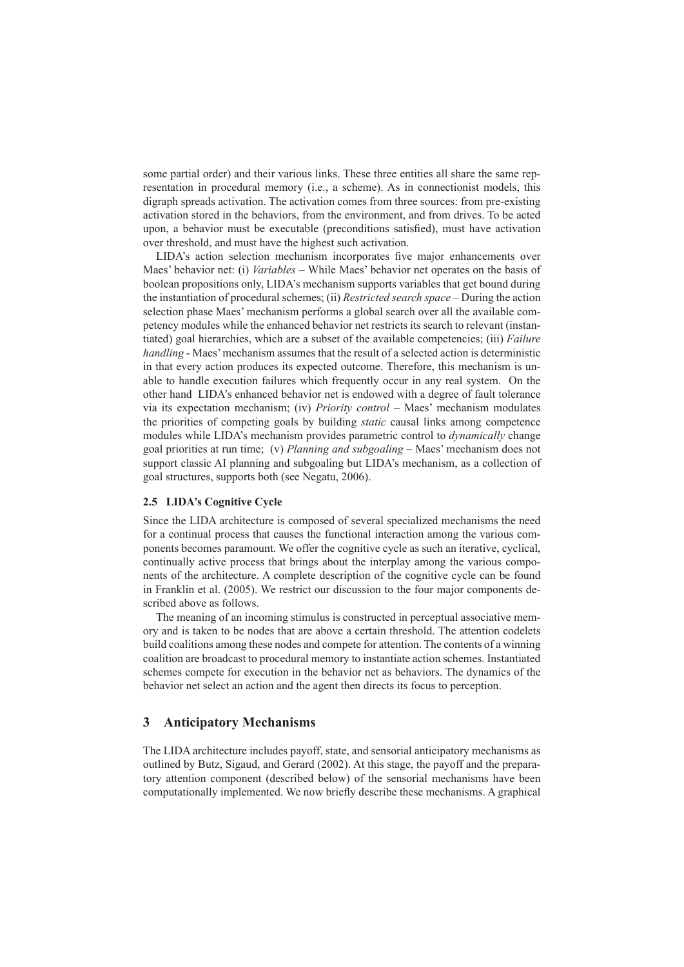some partial order) and their various links. These three entities all share the same representation in procedural memory (i.e., a scheme). As in connectionist models, this digraph spreads activation. The activation comes from three sources: from pre-existing activation stored in the behaviors, from the environment, and from drives. To be acted upon, a behavior must be executable (preconditions satisfied), must have activation over threshold, and must have the highest such activation.

LIDA's action selection mechanism incorporates five major enhancements over Maes' behavior net: (i) *Variables* – While Maes' behavior net operates on the basis of boolean propositions only, LIDA's mechanism supports variables that get bound during the instantiation of procedural schemes; (ii) *Restricted search space* – During the action selection phase Maes' mechanism performs a global search over all the available competency modules while the enhanced behavior net restricts its search to relevant (instantiated) goal hierarchies, which are a subset of the available competencies; (iii) *Failure handling* - Maes' mechanism assumes that the result of a selected action is deterministic in that every action produces its expected outcome. Therefore, this mechanism is unable to handle execution failures which frequently occur in any real system. On the other hand LIDA's enhanced behavior net is endowed with a degree of fault tolerance via its expectation mechanism; (iv) *Priority control* – Maes' mechanism modulates the priorities of competing goals by building *static* causal links among competence modules while LIDA's mechanism provides parametric control to *dynamically* change goal priorities at run time; (v) *Planning and subgoaling* – Maes' mechanism does not support classic AI planning and subgoaling but LIDA's mechanism, as a collection of goal structures, supports both (see Negatu, 2006).

#### **2.5 LIDA's Cognitive Cycle**

Since the LIDA architecture is composed of several specialized mechanisms the need for a continual process that causes the functional interaction among the various components becomes paramount. We offer the cognitive cycle as such an iterative, cyclical, continually active process that brings about the interplay among the various components of the architecture. A complete description of the cognitive cycle can be found in Franklin et al. (2005). We restrict our discussion to the four major components described above as follows.

The meaning of an incoming stimulus is constructed in perceptual associative memory and is taken to be nodes that are above a certain threshold. The attention codelets build coalitions among these nodes and compete for attention. The contents of a winning coalition are broadcast to procedural memory to instantiate action schemes. Instantiated schemes compete for execution in the behavior net as behaviors. The dynamics of the behavior net select an action and the agent then directs its focus to perception.

## **3 Anticipatory Mechanisms**

The LIDA architecture includes payoff, state, and sensorial anticipatory mechanisms as outlined by Butz, Sigaud, and Gerard (2002). At this stage, the payoff and the preparatory attention component (described below) of the sensorial mechanisms have been computationally implemented. We now briefly describe these mechanisms. A graphical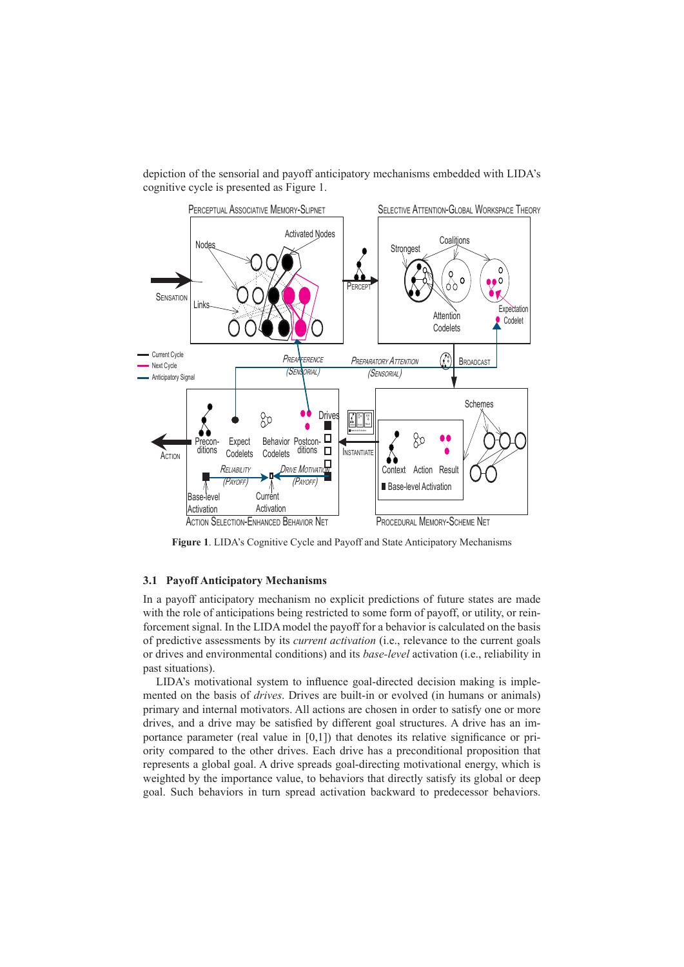depiction of the sensorial and payoff anticipatory mechanisms embedded with LIDA's cognitive cycle is presented as Figure 1.



**Figure 1**. LIDA's Cognitive Cycle and Payoff and State Anticipatory Mechanisms

#### **3.1 Payoff Anticipatory Mechanisms**

In a payoff anticipatory mechanism no explicit predictions of future states are made with the role of anticipations being restricted to some form of payoff, or utility, or reinforcement signal. In the LIDA model the payoff for a behavior is calculated on the basis of predictive assessments by its *current activation* (i.e., relevance to the current goals or drives and environmental conditions) and its *base-level* activation (i.e., reliability in past situations).

LIDA's motivational system to influence goal-directed decision making is implemented on the basis of *drives*. Drives are built-in or evolved (in humans or animals) primary and internal motivators. All actions are chosen in order to satisfy one or more drives, and a drive may be satisfied by different goal structures. A drive has an importance parameter (real value in [0,1]) that denotes its relative significance or priority compared to the other drives. Each drive has a preconditional proposition that represents a global goal. A drive spreads goal-directing motivational energy, which is weighted by the importance value, to behaviors that directly satisfy its global or deep goal. Such behaviors in turn spread activation backward to predecessor behaviors.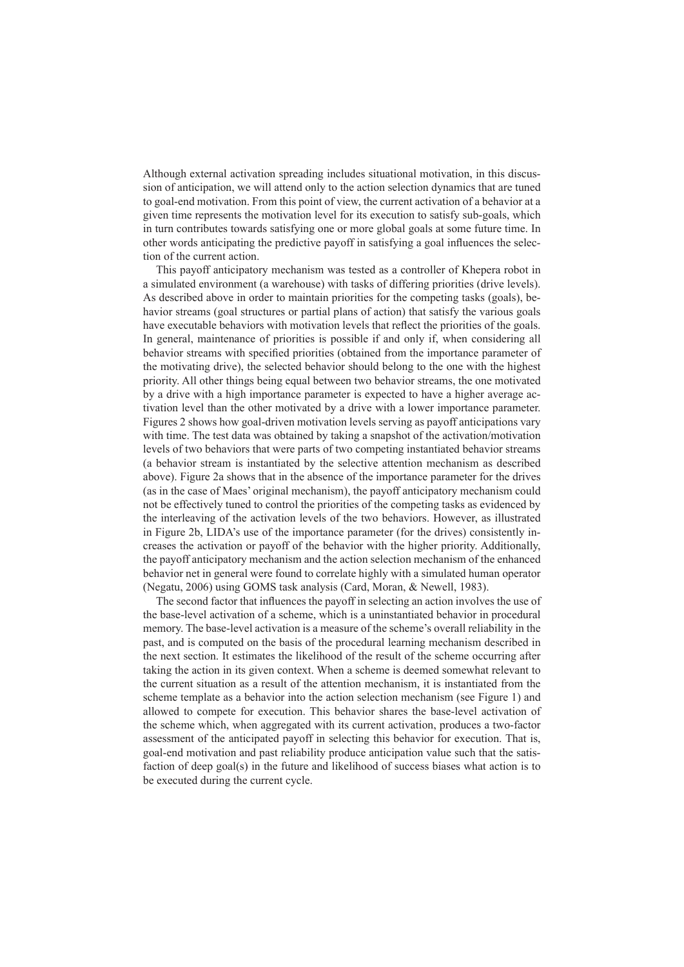Although external activation spreading includes situational motivation, in this discussion of anticipation, we will attend only to the action selection dynamics that are tuned to goal-end motivation. From this point of view, the current activation of a behavior at a given time represents the motivation level for its execution to satisfy sub-goals, which in turn contributes towards satisfying one or more global goals at some future time. In other words anticipating the predictive payoff in satisfying a goal influences the selection of the current action.

This payoff anticipatory mechanism was tested as a controller of Khepera robot in a simulated environment (a warehouse) with tasks of differing priorities (drive levels). As described above in order to maintain priorities for the competing tasks (goals), behavior streams (goal structures or partial plans of action) that satisfy the various goals have executable behaviors with motivation levels that reflect the priorities of the goals. In general, maintenance of priorities is possible if and only if, when considering all behavior streams with specified priorities (obtained from the importance parameter of the motivating drive), the selected behavior should belong to the one with the highest priority. All other things being equal between two behavior streams, the one motivated by a drive with a high importance parameter is expected to have a higher average activation level than the other motivated by a drive with a lower importance parameter. Figures 2 shows how goal-driven motivation levels serving as payoff anticipations vary with time. The test data was obtained by taking a snapshot of the activation/motivation levels of two behaviors that were parts of two competing instantiated behavior streams (a behavior stream is instantiated by the selective attention mechanism as described above). Figure 2a shows that in the absence of the importance parameter for the drives (as in the case of Maes' original mechanism), the payoff anticipatory mechanism could not be effectively tuned to control the priorities of the competing tasks as evidenced by the interleaving of the activation levels of the two behaviors. However, as illustrated in Figure 2b, LIDA's use of the importance parameter (for the drives) consistently increases the activation or payoff of the behavior with the higher priority. Additionally, the payoff anticipatory mechanism and the action selection mechanism of the enhanced behavior net in general were found to correlate highly with a simulated human operator (Negatu, 2006) using GOMS task analysis (Card, Moran, & Newell, 1983).

The second factor that influences the payoff in selecting an action involves the use of the base-level activation of a scheme, which is a uninstantiated behavior in procedural memory. The base-level activation is a measure of the scheme's overall reliability in the past, and is computed on the basis of the procedural learning mechanism described in the next section. It estimates the likelihood of the result of the scheme occurring after taking the action in its given context. When a scheme is deemed somewhat relevant to the current situation as a result of the attention mechanism, it is instantiated from the scheme template as a behavior into the action selection mechanism (see Figure 1) and allowed to compete for execution. This behavior shares the base-level activation of the scheme which, when aggregated with its current activation, produces a two-factor assessment of the anticipated payoff in selecting this behavior for execution. That is, goal-end motivation and past reliability produce anticipation value such that the satisfaction of deep goal(s) in the future and likelihood of success biases what action is to be executed during the current cycle.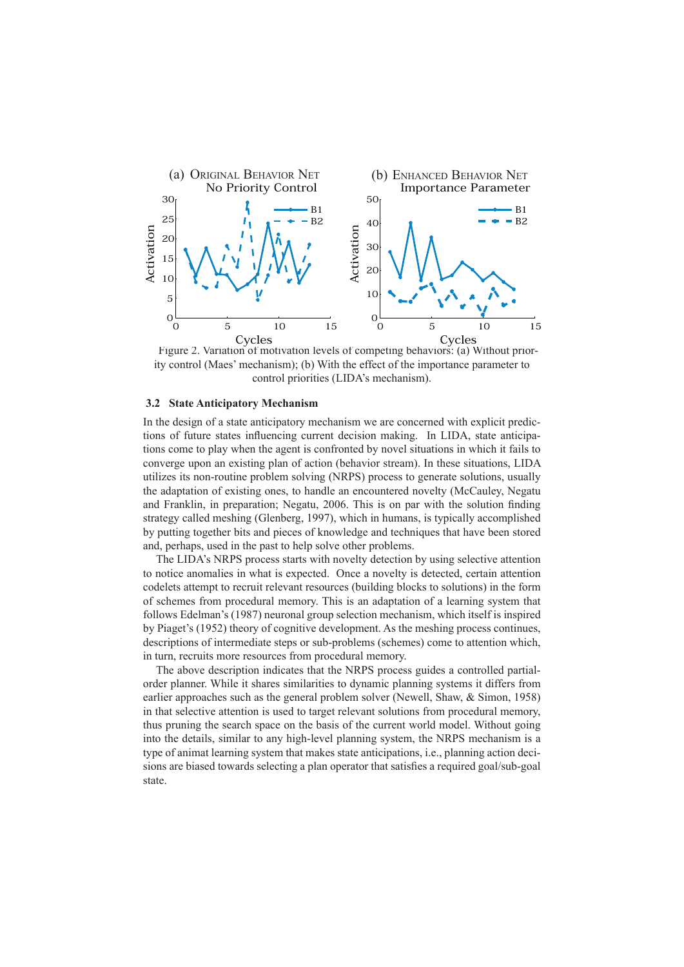

Figure 2. Variation of motivation levels of competing behaviors: (a) Without priority control (Maes' mechanism); (b) With the effect of the importance parameter to control priorities (LIDA's mechanism).

#### **3.2 State Anticipatory Mechanism**

In the design of a state anticipatory mechanism we are concerned with explicit predictions of future states influencing current decision making. In LIDA, state anticipations come to play when the agent is confronted by novel situations in which it fails to converge upon an existing plan of action (behavior stream). In these situations, LIDA utilizes its non-routine problem solving (NRPS) process to generate solutions, usually the adaptation of existing ones, to handle an encountered novelty (McCauley, Negatu and Franklin, in preparation; Negatu, 2006. This is on par with the solution finding strategy called meshing (Glenberg, 1997), which in humans, is typically accomplished by putting together bits and pieces of knowledge and techniques that have been stored and, perhaps, used in the past to help solve other problems.

The LIDA's NRPS process starts with novelty detection by using selective attention to notice anomalies in what is expected. Once a novelty is detected, certain attention codelets attempt to recruit relevant resources (building blocks to solutions) in the form of schemes from procedural memory. This is an adaptation of a learning system that follows Edelman's (1987) neuronal group selection mechanism, which itself is inspired by Piaget's (1952) theory of cognitive development. As the meshing process continues, descriptions of intermediate steps or sub-problems (schemes) come to attention which, in turn, recruits more resources from procedural memory.

The above description indicates that the NRPS process guides a controlled partialorder planner. While it shares similarities to dynamic planning systems it differs from earlier approaches such as the general problem solver (Newell, Shaw, & Simon, 1958) in that selective attention is used to target relevant solutions from procedural memory, thus pruning the search space on the basis of the current world model. Without going into the details, similar to any high-level planning system, the NRPS mechanism is a type of animat learning system that makes state anticipations, i.e., planning action decisions are biased towards selecting a plan operator that satisfies a required goal/sub-goal state.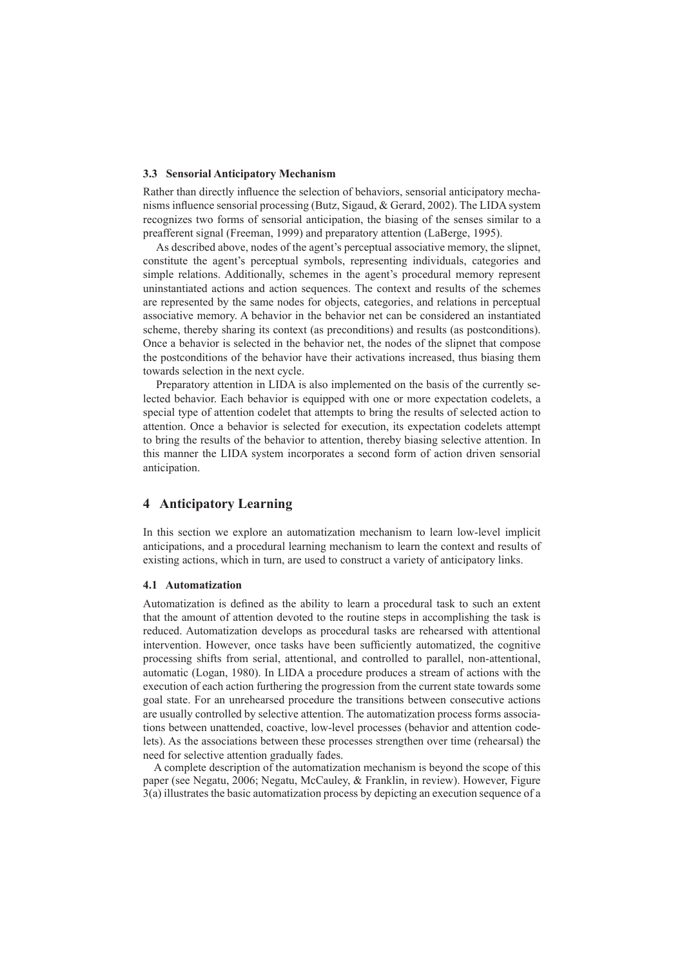#### **3.3 Sensorial Anticipatory Mechanism**

Rather than directly influence the selection of behaviors, sensorial anticipatory mechanisms influence sensorial processing (Butz, Sigaud, & Gerard, 2002). The LIDA system recognizes two forms of sensorial anticipation, the biasing of the senses similar to a preafferent signal (Freeman, 1999) and preparatory attention (LaBerge, 1995).

As described above, nodes of the agent's perceptual associative memory, the slipnet, constitute the agent's perceptual symbols, representing individuals, categories and simple relations. Additionally, schemes in the agent's procedural memory represent uninstantiated actions and action sequences. The context and results of the schemes are represented by the same nodes for objects, categories, and relations in perceptual associative memory. A behavior in the behavior net can be considered an instantiated scheme, thereby sharing its context (as preconditions) and results (as postconditions). Once a behavior is selected in the behavior net, the nodes of the slipnet that compose the postconditions of the behavior have their activations increased, thus biasing them towards selection in the next cycle.

Preparatory attention in LIDA is also implemented on the basis of the currently selected behavior. Each behavior is equipped with one or more expectation codelets, a special type of attention codelet that attempts to bring the results of selected action to attention. Once a behavior is selected for execution, its expectation codelets attempt to bring the results of the behavior to attention, thereby biasing selective attention. In this manner the LIDA system incorporates a second form of action driven sensorial anticipation.

### **4 Anticipatory Learning**

In this section we explore an automatization mechanism to learn low-level implicit anticipations, and a procedural learning mechanism to learn the context and results of existing actions, which in turn, are used to construct a variety of anticipatory links.

#### **4.1 Automatization**

Automatization is defined as the ability to learn a procedural task to such an extent that the amount of attention devoted to the routine steps in accomplishing the task is reduced. Automatization develops as procedural tasks are rehearsed with attentional intervention. However, once tasks have been sufficiently automatized, the cognitive processing shifts from serial, attentional, and controlled to parallel, non-attentional, automatic (Logan, 1980). In LIDA a procedure produces a stream of actions with the execution of each action furthering the progression from the current state towards some goal state. For an unrehearsed procedure the transitions between consecutive actions are usually controlled by selective attention. The automatization process forms associations between unattended, coactive, low-level processes (behavior and attention codelets). As the associations between these processes strengthen over time (rehearsal) the need for selective attention gradually fades.

 A complete description of the automatization mechanism is beyond the scope of this paper (see Negatu, 2006; Negatu, McCauley, & Franklin, in review). However, Figure 3(a) illustrates the basic automatization process by depicting an execution sequence of a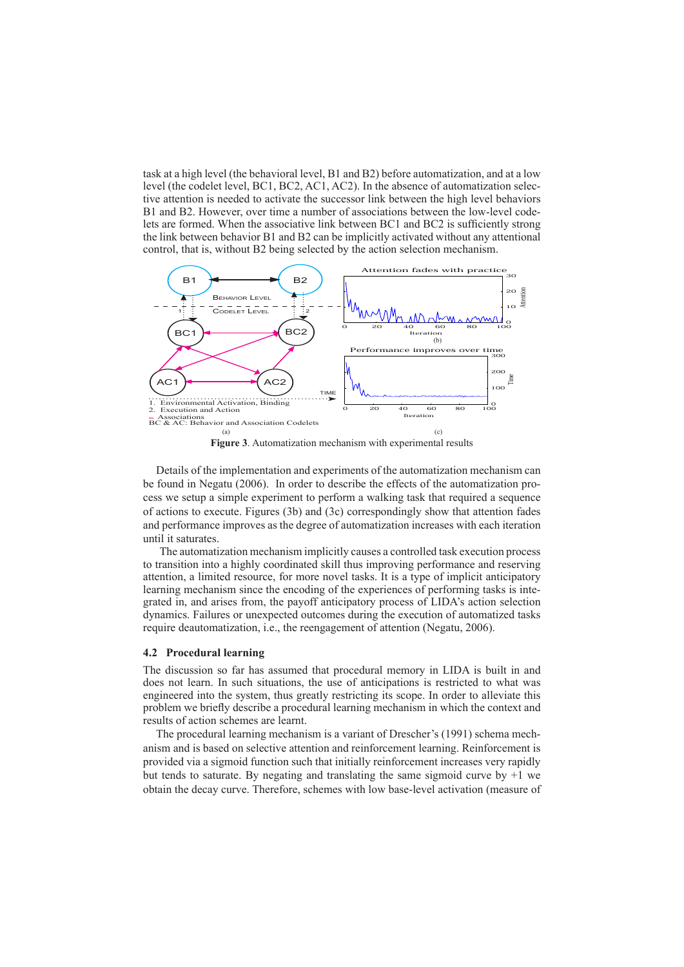task at a high level (the behavioral level, B1 and B2) before automatization, and at a low level (the codelet level, BC1, BC2, AC1, AC2). In the absence of automatization selective attention is needed to activate the successor link between the high level behaviors B1 and B2. However, over time a number of associations between the low-level codelets are formed. When the associative link between BC1 and BC2 is sufficiently strong the link between behavior B1 and B2 can be implicitly activated without any attentional control, that is, without B2 being selected by the action selection mechanism.



**Figure 3**. Automatization mechanism with experimental results

Details of the implementation and experiments of the automatization mechanism can be found in Negatu (2006). In order to describe the effects of the automatization process we setup a simple experiment to perform a walking task that required a sequence of actions to execute. Figures (3b) and (3c) correspondingly show that attention fades and performance improves as the degree of automatization increases with each iteration until it saturates.

The automatization mechanism implicitly causes a controlled task execution process to transition into a highly coordinated skill thus improving performance and reserving attention, a limited resource, for more novel tasks. It is a type of implicit anticipatory learning mechanism since the encoding of the experiences of performing tasks is integrated in, and arises from, the payoff anticipatory process of LIDA's action selection dynamics. Failures or unexpected outcomes during the execution of automatized tasks require deautomatization, i.e., the reengagement of attention (Negatu, 2006).

#### **4.2 Procedural learning**

The discussion so far has assumed that procedural memory in LIDA is built in and does not learn. In such situations, the use of anticipations is restricted to what was engineered into the system, thus greatly restricting its scope. In order to alleviate this problem we briefly describe a procedural learning mechanism in which the context and results of action schemes are learnt.

The procedural learning mechanism is a variant of Drescher's (1991) schema mechanism and is based on selective attention and reinforcement learning. Reinforcement is provided via a sigmoid function such that initially reinforcement increases very rapidly but tends to saturate. By negating and translating the same sigmoid curve by  $+1$  we obtain the decay curve. Therefore, schemes with low base-level activation (measure of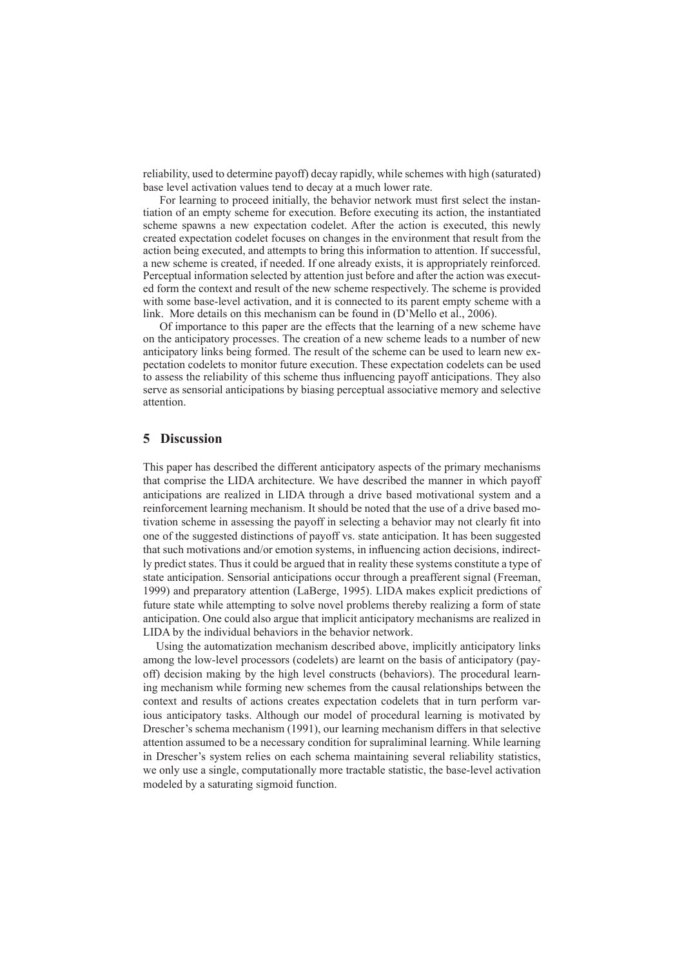reliability, used to determine payoff) decay rapidly, while schemes with high (saturated) base level activation values tend to decay at a much lower rate.

For learning to proceed initially, the behavior network must first select the instantiation of an empty scheme for execution. Before executing its action, the instantiated scheme spawns a new expectation codelet. After the action is executed, this newly created expectation codelet focuses on changes in the environment that result from the action being executed, and attempts to bring this information to attention. If successful, a new scheme is created, if needed. If one already exists, it is appropriately reinforced. Perceptual information selected by attention just before and after the action was executed form the context and result of the new scheme respectively. The scheme is provided with some base-level activation, and it is connected to its parent empty scheme with a link. More details on this mechanism can be found in (D'Mello et al., 2006).

Of importance to this paper are the effects that the learning of a new scheme have on the anticipatory processes. The creation of a new scheme leads to a number of new anticipatory links being formed. The result of the scheme can be used to learn new expectation codelets to monitor future execution. These expectation codelets can be used to assess the reliability of this scheme thus influencing payoff anticipations. They also serve as sensorial anticipations by biasing perceptual associative memory and selective attention.

# **5 Discussion**

This paper has described the different anticipatory aspects of the primary mechanisms that comprise the LIDA architecture. We have described the manner in which payoff anticipations are realized in LIDA through a drive based motivational system and a reinforcement learning mechanism. It should be noted that the use of a drive based motivation scheme in assessing the payoff in selecting a behavior may not clearly fit into one of the suggested distinctions of payoff vs. state anticipation. It has been suggested that such motivations and/or emotion systems, in influencing action decisions, indirectly predict states. Thus it could be argued that in reality these systems constitute a type of state anticipation. Sensorial anticipations occur through a preafferent signal (Freeman, 1999) and preparatory attention (LaBerge, 1995). LIDA makes explicit predictions of future state while attempting to solve novel problems thereby realizing a form of state anticipation. One could also argue that implicit anticipatory mechanisms are realized in LIDA by the individual behaviors in the behavior network.

Using the automatization mechanism described above, implicitly anticipatory links among the low-level processors (codelets) are learnt on the basis of anticipatory (payoff) decision making by the high level constructs (behaviors). The procedural learning mechanism while forming new schemes from the causal relationships between the context and results of actions creates expectation codelets that in turn perform various anticipatory tasks. Although our model of procedural learning is motivated by Drescher's schema mechanism (1991), our learning mechanism differs in that selective attention assumed to be a necessary condition for supraliminal learning. While learning in Drescher's system relies on each schema maintaining several reliability statistics, we only use a single, computationally more tractable statistic, the base-level activation modeled by a saturating sigmoid function.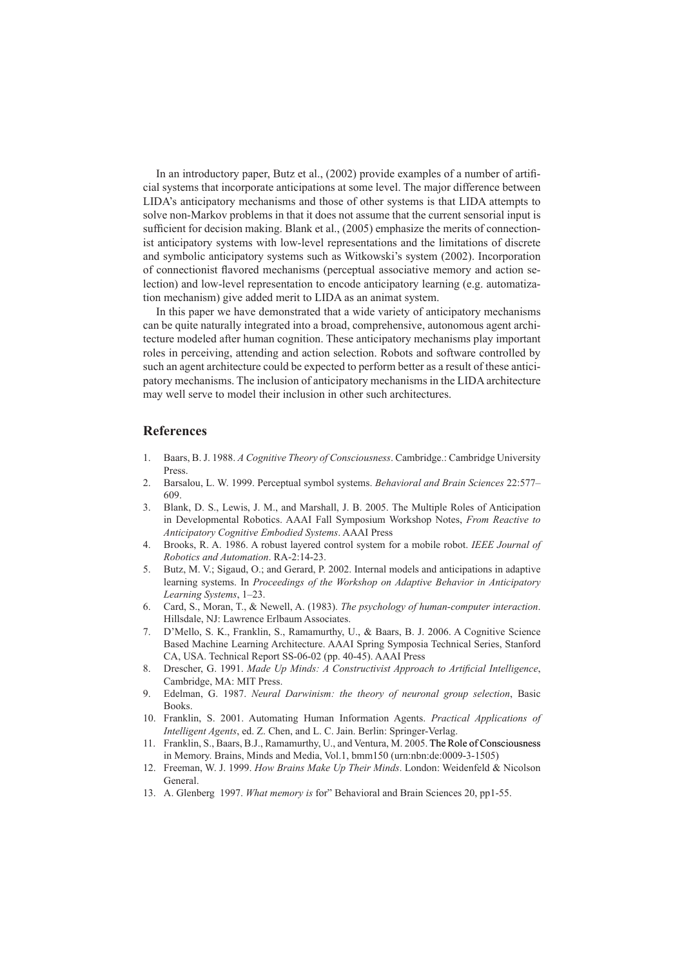In an introductory paper, Butz et al., (2002) provide examples of a number of artificial systems that incorporate anticipations at some level. The major difference between LIDA's anticipatory mechanisms and those of other systems is that LIDA attempts to solve non-Markov problems in that it does not assume that the current sensorial input is sufficient for decision making. Blank et al., (2005) emphasize the merits of connectionist anticipatory systems with low-level representations and the limitations of discrete and symbolic anticipatory systems such as Witkowski's system (2002). Incorporation of connectionist flavored mechanisms (perceptual associative memory and action selection) and low-level representation to encode anticipatory learning (e.g. automatization mechanism) give added merit to LIDA as an animat system.

In this paper we have demonstrated that a wide variety of anticipatory mechanisms can be quite naturally integrated into a broad, comprehensive, autonomous agent architecture modeled after human cognition. These anticipatory mechanisms play important roles in perceiving, attending and action selection. Robots and software controlled by such an agent architecture could be expected to perform better as a result of these anticipatory mechanisms. The inclusion of anticipatory mechanisms in the LIDA architecture may well serve to model their inclusion in other such architectures.

### **References**

- 1. Baars, B. J. 1988. *A Cognitive Theory of Consciousness*. Cambridge.: Cambridge University Press.
- 2. Barsalou, L. W. 1999. Perceptual symbol systems. *Behavioral and Brain Sciences* 22:577– 609.
- 3. Blank, D. S., Lewis, J. M., and Marshall, J. B. 2005. The Multiple Roles of Anticipation in Developmental Robotics. AAAI Fall Symposium Workshop Notes, *From Reactive to Anticipatory Cognitive Embodied Systems*. AAAI Press
- 4. Brooks, R. A. 1986. A robust layered control system for a mobile robot. *IEEE Journal of Robotics and Automation*. RA-2:14-23.
- 5. Butz, M. V.; Sigaud, O.; and Gerard, P. 2002. Internal models and anticipations in adaptive learning systems. In *Proceedings of the Workshop on Adaptive Behavior in Anticipatory Learning Systems*, 1–23.
- 6. Card, S., Moran, T., & Newell, A. (1983). *The psychology of human-computer interaction*. Hillsdale, NJ: Lawrence Erlbaum Associates.
- 7. D'Mello, S. K., Franklin, S., Ramamurthy, U., & Baars, B. J. 2006. A Cognitive Science Based Machine Learning Architecture. AAAI Spring Symposia Technical Series, Stanford CA, USA. Technical Report SS-06-02 (pp. 40-45). AAAI Press
- 8. Drescher, G. 1991. *Made Up Minds: A Constructivist Approach to Artificial Intelligence*, Cambridge, MA: MIT Press.
- 9. Edelman, G. 1987. *Neural Darwinism: the theory of neuronal group selection*, Basic Books.
- 10. Franklin, S. 2001. Automating Human Information Agents. *Practical Applications of Intelligent Agents*, ed. Z. Chen, and L. C. Jain. Berlin: Springer-Verlag.
- 11. Franklin, S., Baars, B.J., Ramamurthy, U., and Ventura, M. 2005. The Role of Consciousness Consciousness in Memory. Brains, Minds and Media, Vol.1, bmm150 (urn:nbn:de:0009-3-1505)
- 12. Freeman, W. J. 1999. *How Brains Make Up Their Minds*. London: Weidenfeld & Nicolson General.
- 13. A. Glenberg 1997. *What memory is* for" Behavioral and Brain Sciences 20, pp1-55.